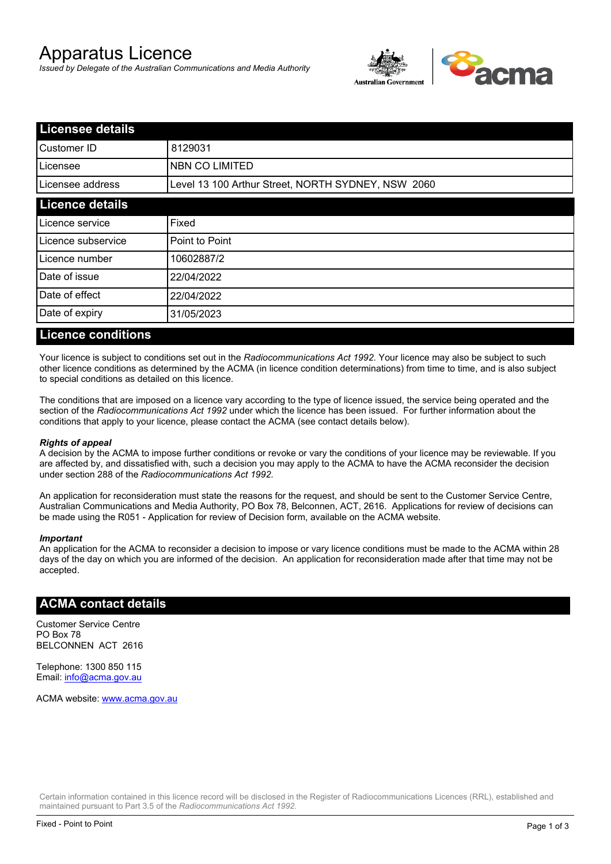# Apparatus Licence

*Issued by Delegate of the Australian Communications and Media Authority*



| <b>Licensee details</b> |                                                    |  |
|-------------------------|----------------------------------------------------|--|
| Customer ID             | 8129031                                            |  |
| ILicensee               | <b>NBN CO LIMITED</b>                              |  |
| Licensee address        | Level 13 100 Arthur Street, NORTH SYDNEY, NSW 2060 |  |
| <b>Licence details</b>  |                                                    |  |
| Licence service         | Fixed                                              |  |
| Licence subservice      | Point to Point                                     |  |
| Licence number          | 10602887/2                                         |  |
| Date of issue           | 22/04/2022                                         |  |
| Date of effect          | 22/04/2022                                         |  |
| Date of expiry          | 31/05/2023                                         |  |
|                         |                                                    |  |

#### **Licence conditions**

Your licence is subject to conditions set out in the *Radiocommunications Act 1992*. Your licence may also be subject to such other licence conditions as determined by the ACMA (in licence condition determinations) from time to time, and is also subject to special conditions as detailed on this licence.

The conditions that are imposed on a licence vary according to the type of licence issued, the service being operated and the section of the *Radiocommunications Act 1992* under which the licence has been issued. For further information about the conditions that apply to your licence, please contact the ACMA (see contact details below).

#### *Rights of appeal*

A decision by the ACMA to impose further conditions or revoke or vary the conditions of your licence may be reviewable. If you are affected by, and dissatisfied with, such a decision you may apply to the ACMA to have the ACMA reconsider the decision under section 288 of the *Radiocommunications Act 1992*.

An application for reconsideration must state the reasons for the request, and should be sent to the Customer Service Centre, Australian Communications and Media Authority, PO Box 78, Belconnen, ACT, 2616. Applications for review of decisions can be made using the R051 - Application for review of Decision form, available on the ACMA website.

#### *Important*

An application for the ACMA to reconsider a decision to impose or vary licence conditions must be made to the ACMA within 28 days of the day on which you are informed of the decision. An application for reconsideration made after that time may not be accepted.

#### **ACMA contact details**

Customer Service Centre PO Box 78 BELCONNEN ACT 2616

Telephone: 1300 850 115 Email: info@acma.gov.au

ACMA website: www.acma.gov.au

Certain information contained in this licence record will be disclosed in the Register of Radiocommunications Licences (RRL), established and maintained pursuant to Part 3.5 of the *Radiocommunications Act 1992.*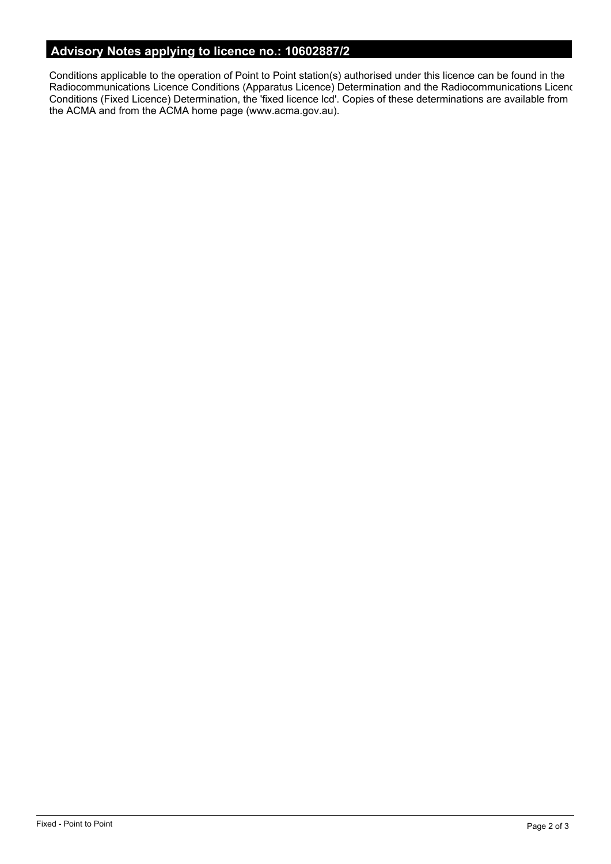# **Advisory Notes applying to licence no.: 10602887/2**

Conditions applicable to the operation of Point to Point station(s) authorised under this licence can be found in the Radiocommunications Licence Conditions (Apparatus Licence) Determination and the Radiocommunications Licence Conditions (Fixed Licence) Determination, the 'fixed licence lcd'. Copies of these determinations are available from the ACMA and from the ACMA home page (www.acma.gov.au).